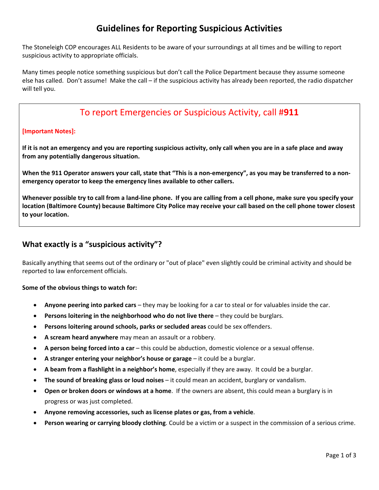# **Guidelines for Reporting Suspicious Activities**

The Stoneleigh COP encourages ALL Residents to be aware of your surroundings at all times and be willing to report suspicious activity to appropriate officials.

Many times people notice something suspicious but don't call the Police Department because they assume someone else has called. Don't assume! Make the call – if the suspicious activity has already been reported, the radio dispatcher will tell you.

# To report Emergencies or Suspicious Activity, call #**911**

### **[Important Notes]:**

If it is not an emergency and you are reporting suspicious activity, only call when you are in a safe place and away **from any potentially dangerous situation.** 

When the 911 Operator answers your call, state that "This is a non-emergency", as you may be transferred to a non**emergency operator to keep the emergency lines available to other callers.** 

Whenever possible try to call from a land-line phone. If you are calling from a cell phone, make sure you specify your location (Baltimore County) because Baltimore City Police may receive your call based on the cell phone tower closest **to your location.**

### **What exactly is a "suspicious activity"?**

Basically anything that seems out of the ordinary or "out of place" even slightly could be criminal activity and should be reported to law enforcement officials.

#### **Some of the obvious things to watch for:**

- **Anyone peering into parked cars** they may be looking for a car to steal or for valuables inside the car.
- **Persons loitering in the neighborhood who do not live there** they could be burglars.
- **Persons loitering around schools, parks or secluded areas** could be sex offenders.
- **A scream heard anywhere** may mean an assault or a robbery.
- **A person being forced into a car** this could be abduction, domestic violence or a sexual offense.
- **A stranger entering your neighbor's house or garage** it could be a burglar.
- **A beam from a flashlight in a neighbor's home**, especially if they are away. It could be a burglar.
- **The sound of breaking glass or loud noises** it could mean an accident, burglary or vandalism.
- **Open or broken doors or windows at a home**. If the owners are absent, this could mean a burglary is in progress or was just completed.
- **Anyone removing accessories, such as license plates or gas, from a vehicle**.
- **Person wearing or carrying bloody clothing**. Could be a victim or a suspect in the commission of a serious crime.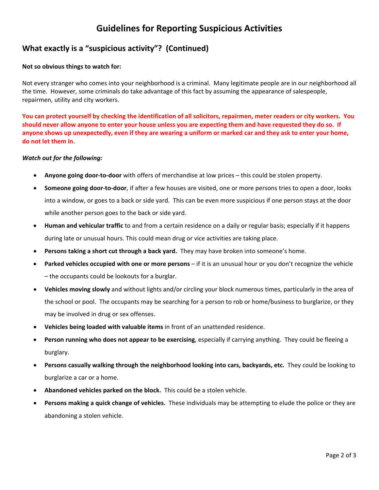## **Guidelines for Reporting Suspicious Activities**

### **What exactly is a "suspicious activity"? (Continued)**

#### **Not so obvious things to watch for:**

Not every stranger who comes into your neighborhood is a criminal. Many legitimate people are in our neighborhood all the time. However, some criminals do take advantage of this fact by assuming the appearance of salespeople, repairmen, utility and city workers.

You can protect yourself by checking the identification of all solicitors, repairmen, meter readers or city workers. You should never allow anyone to enter your house unless you are expecting them and have requested they do so. If anyone shows up unexpectedly, even if they are wearing a uniform or marked car and they ask to enter your home, **do not let them in.**

#### *Watch out for the following:*

- **Anyone going door‐to‐door** with offers of merchandise at low prices this could be stolen property.
- **Someone going door‐to‐door**, if after a few houses are visited, one or more persons tries to open a door, looks into a window, or goes to a back or side yard. This can be even more suspicious if one person stays at the door while another person goes to the back or side yard.
- **Human and vehicular traffic** to and from a certain residence on a daily or regular basis; especially if it happens during late or unusual hours. This could mean drug or vice activities are taking place.
- **Persons taking a short cut through a back yard.** They may have broken into someone's home.
- **Parked vehicles occupied with one or more persons** if it is an unusual hour or you don't recognize the vehicle – the occupants could be lookouts for a burglar.
- **Vehicles moving slowly** and without lights and/or circling your block numerous times, particularly in the area of the school or pool. The occupants may be searching for a person to rob or home/business to burglarize, or they may be involved in drug or sex offenses.
- **Vehicles being loaded with valuable items** in front of an unattended residence.
- **Person running who does not appear to be exercising**, especially if carrying anything. They could be fleeing a burglary.
- **Persons casually walking through the neighborhood looking into cars, backyards, etc.** They could be looking to burglarize a car or a home.
- **Abandoned vehicles parked on the block.** This could be a stolen vehicle.
- **Persons making a quick change of vehicles.** These individuals may be attempting to elude the police or they are abandoning a stolen vehicle.